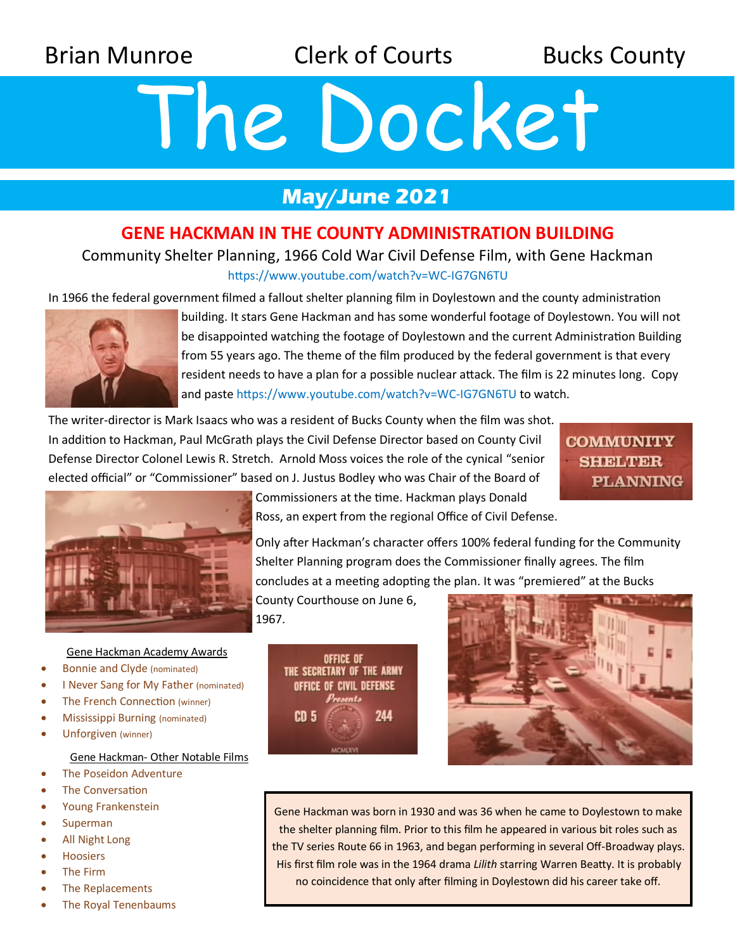Brian Munroe **Clerk of Courts** Bucks County

# The Docket

## **May/June 2021**

## **GENE HACKMAN IN THE COUNTY ADMINISTRATION BUILDING**

### Community Shelter Planning, 1966 Cold War Civil Defense Film, with Gene Hackman https://www.youtube.com/watch?v=WC-IG7GN6TU

In 1966 the federal government filmed a fallout shelter planning film in Doylestown and the county administration



building. It stars Gene Hackman and has some wonderful footage of Doylestown. You will not be disappointed watching the footage of Doylestown and the current Administration Building from 55 years ago. The theme of the film produced by the federal government is that every resident needs to have a plan for a possible nuclear attack. The film is 22 minutes long. Copy and paste https://www.youtube.com/watch?v=WC-IG7GN6TU to watch.

The writer-director is Mark Isaacs who was a resident of Bucks County when the film was shot. In addition to Hackman, Paul McGrath plays the Civil Defense Director based on County Civil Defense Director Colonel Lewis R. Stretch. Arnold Moss voices the role of the cynical "senior elected official" or "Commissioner" based on J. Justus Bodley who was Chair of the Board of

**COMMUNITY SHELTER PLANNING** 



Commissioners at the time. Hackman plays Donald Ross, an expert from the regional Office of Civil Defense.

Only after Hackman's character offers 100% federal funding for the Community Shelter Planning program does the Commissioner finally agrees. The film concludes at a meeting adopting the plan. It was "premiered" at the Bucks

County Courthouse on June 6, 1967.





Gene Hackman was born in 1930 and was 36 when he came to Doylestown to make the shelter planning film. Prior to this film he appeared in various bit roles such as the TV series Route 66 in 1963, and began performing in several Off-Broadway plays. His first film role was in the 1964 drama *Lilith* starring Warren Beatty. It is probably no coincidence that only after filming in Doylestown did his career take off.

Gene Hackman Academy Awards

- Bonnie and Clyde (nominated)
- I Never Sang for My Father (nominated)
- The French Connection (winner)
- Mississippi Burning (nominated)
- Unforgiven (winner)

#### Gene Hackman- Other Notable Films

- The Poseidon Adventure
- The Conversation
- Young Frankenstein
- Superman
- All Night Long
- **Hoosiers**
- The Firm
- The Replacements
- The Royal Tenenbaums